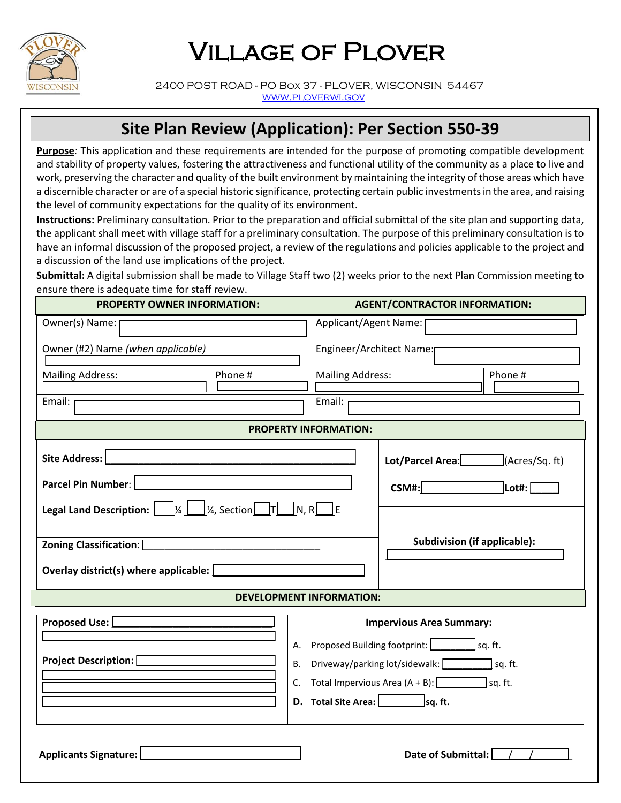

## Village of Plover

 2400 POST ROAD - PO Box 37 - PLOVER, WISCONSIN 54467 [www.ploverwi.gov](http://www.ploverwi.gov/)

## **Site Plan Review (Application): Per Section 550-39**

**Purpose***:* This application and these requirements are intended for the purpose of promoting compatible development and stability of property values, fostering the attractiveness and functional utility of the community as a place to live and work, preserving the character and quality of the built environment by maintaining the integrity of those areas which have a discernible character or are of a special historic significance, protecting certain public investments in the area, and raising the level of community expectations for the quality of its environment.

**Instructions:** Preliminary consultation. Prior to the preparation and official submittal of the site plan and supporting data, the applicant shall meet with village staff for a preliminary consultation. The purpose of this preliminary consultation is to have an informal discussion of the proposed project, a review of the regulations and policies applicable to the project and a discussion of the land use implications of the project.

**Submittal:** A digital submission shall be made to Village Staff two (2) weeks prior to the next Plan Commission meeting to ensure there is adequate time for staff review.

| <b>PROPERTY OWNER INFORMATION:</b>                                                                                        |                                         | <b>AGENT/CONTRACTOR INFORMATION:</b> |                                                                      |  |  |
|---------------------------------------------------------------------------------------------------------------------------|-----------------------------------------|--------------------------------------|----------------------------------------------------------------------|--|--|
| Owner(s) Name:                                                                                                            |                                         | Applicant/Agent Name: [              |                                                                      |  |  |
| Owner (#2) Name (when applicable)                                                                                         |                                         | Engineer/Architect Name:             |                                                                      |  |  |
| Phone #<br><b>Mailing Address:</b>                                                                                        |                                         | <b>Mailing Address:</b><br>Phone #   |                                                                      |  |  |
| Email: r                                                                                                                  |                                         | Email:                               |                                                                      |  |  |
| <b>PROPERTY INFORMATION:</b>                                                                                              |                                         |                                      |                                                                      |  |  |
| Site Address:                                                                                                             |                                         | (Acres/Sq. ft)<br>Lot/Parcel Area:   |                                                                      |  |  |
| Parcel Pin Number:                                                                                                        |                                         |                                      | $CSM\#$ :<br>$\overline{\phantom{a}}$ Lot#: $\overline{\phantom{a}}$ |  |  |
| <b>Legal Land Description:</b> $\boxed{y_4 \underline{\bigcup} y_4}$ , Section $\boxed{ \top \Box} N$ , R $\boxed{ \top}$ |                                         |                                      |                                                                      |  |  |
| Zoning Classification: [                                                                                                  |                                         |                                      | <b>Subdivision (if applicable):</b>                                  |  |  |
| Overlay district(s) where applicable: $\Box$                                                                              |                                         |                                      |                                                                      |  |  |
| <b>DEVELOPMENT INFORMATION:</b>                                                                                           |                                         |                                      |                                                                      |  |  |
| Proposed Use: [                                                                                                           |                                         | <b>Impervious Area Summary:</b>      |                                                                      |  |  |
|                                                                                                                           | A. Proposed Building footprint: sq. ft. |                                      |                                                                      |  |  |
| <b>Project Description:</b><br>В.                                                                                         |                                         |                                      | Driveway/parking lot/sidewalk: sq. ft.                               |  |  |
| C. Total Impervious Area $(A + B)$ : $\boxed{\qquad}$ sq. ft.                                                             |                                         |                                      |                                                                      |  |  |
|                                                                                                                           |                                         |                                      | D. Total Site Area: sq. ft.                                          |  |  |
| Applicants Signature:                                                                                                     |                                         |                                      | Date of Submittal: [                                                 |  |  |